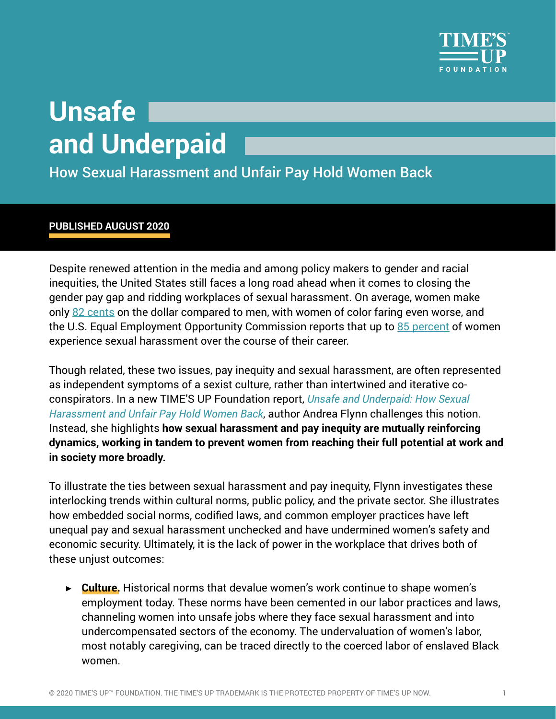

## **Unsafe and Underpaid**

How Sexual Harassment and Unfair Pay Hold Women Back

## **PUBLISHED AUGUST 2020**

Despite renewed attention in the media and among policy makers to gender and racial inequities, the United States still faces a long road ahead when it comes to closing the gender pay gap and ridding workplaces of sexual harassment. On average, women make only [82 cents](https://www.nationalpartnership.org/our-work/resources/economic-justice/fair-pay/americas-women-and-the-wage-gap.pdf) on the dollar compared to men, with women of color faring even worse, and the U.S. Equal Employment Opportunity Commission reports that up to [85 percent](https://www.eeoc.gov/select-task-force-study-harassment-workplace) of women experience sexual harassment over the course of their career.

Though related, these two issues, pay inequity and sexual harassment, are often represented as independent symptoms of a sexist culture, rather than intertwined and iterative coconspirators. In a new TIME'S UP Foundation report, *[Unsafe and Underpaid: How Sexual](https://timesupfoundation.org/work/times-up-impact-lab/unsafe-and-underpaid-how-sexual-harassment-and-unfair-pay-hold-women-back/)  [Harassment and Unfair Pay Hold Women Back](https://timesupfoundation.org/work/times-up-impact-lab/unsafe-and-underpaid-how-sexual-harassment-and-unfair-pay-hold-women-back/)*, author Andrea Flynn challenges this notion. Instead, she highlights **how sexual harassment and pay inequity are mutually reinforcing dynamics, working in tandem to prevent women from reaching their full potential at work and in society more broadly.**

To illustrate the ties between sexual harassment and pay inequity, Flynn investigates these interlocking trends within cultural norms, public policy, and the private sector. She illustrates how embedded social norms, codified laws, and common employer practices have left unequal pay and sexual harassment unchecked and have undermined women's safety and economic security. Ultimately, it is the lack of power in the workplace that drives both of these unjust outcomes:

▶ **Culture.** Historical norms that devalue women's work continue to shape women's employment today. These norms have been cemented in our labor practices and laws, channeling women into unsafe jobs where they face sexual harassment and into undercompensated sectors of the economy. The undervaluation of women's labor, most notably caregiving, can be traced directly to the coerced labor of enslaved Black women.